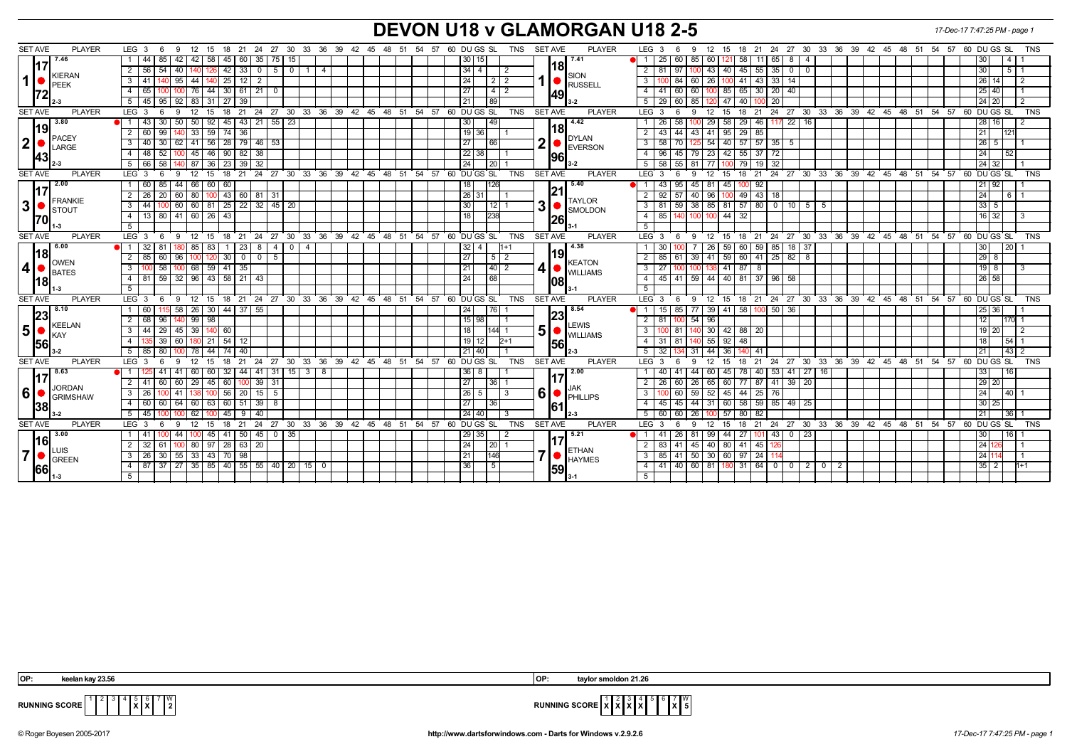## **DEVON U18 v GLAMORGAN U18 2-5** *17-Dec-17 7:47:25 PM - page 1*

| <b>SET AVE</b><br><b>PLAYER</b>                                                                                                                               | LEG <sub>3</sub><br>12<br>18 21 24<br>27 30 33 36 39 42 45 48 51 54<br>-6<br>9<br>15                | 57 60 DU GS SL<br>TNS                                                  | <b>SET AVE</b><br><b>PLAYER</b>                                         | LEG <sub>3</sub><br>18 21 24 27 30 33 36 39 42 45 48 51 54 57 60 DU GS SL<br><b>TNS</b><br>12<br>15<br>6<br>-9                       |
|---------------------------------------------------------------------------------------------------------------------------------------------------------------|-----------------------------------------------------------------------------------------------------|------------------------------------------------------------------------|-------------------------------------------------------------------------|--------------------------------------------------------------------------------------------------------------------------------------|
| 7.46                                                                                                                                                          | 58<br>35<br>44<br>85<br>42<br>75   15<br>42<br>45<br>60                                             | 30  <br>15 <sup>1</sup>                                                | 7.41                                                                    | 25<br>60 85<br>60 I<br>58<br>11 65<br>8<br>4<br>l 30                                                                                 |
| KIERAN<br>1<br><b>IPEEK</b>                                                                                                                                   | $\overline{0}$<br>2 56<br>54<br>$42 \mid 33$<br>50<br>40<br>1 <sup>1</sup><br>$\overline{4}$<br>126 | $34$   4                                                               | <b>18</b>                                                               | 45<br>$55 \mid 35 \mid 0$<br>2<br>43   40  <br> 30 <br>5   1<br>81<br>$\overline{0}$                                                 |
|                                                                                                                                                               | 3   41  <br>95<br>  44<br>$25$   12<br>$\overline{2}$<br>1401                                       | 24<br>2 <sub>1</sub><br>$\overline{2}$                                 | SION                                                                    | 26   100   41   43   33   14<br>$\mathbf{3}$<br>84 60 1<br>  26   14  <br>l 2                                                        |
|                                                                                                                                                               | 44<br>21<br>4 I<br>30   61  <br>65<br>76 I                                                          | $4\overline{2}$<br>27                                                  | RUSSELL<br>49                                                           | 60<br>85   65<br>30   20   40<br>$\overline{4}$<br>60 l<br>  25   40                                                                 |
|                                                                                                                                                               | 27 39<br>5 45 95<br>$92$   83<br>  31                                                               | 21<br>89                                                               |                                                                         | 29   60   85<br>  47   40  <br>100 20<br>5<br>l 24 l 20<br>2                                                                         |
| <b>SET AVE</b><br><b>PLAYER</b>                                                                                                                               | $LEG$ 3<br>$12 \overline{ }$<br>15<br>18<br>6<br>9                                                  | 21 24 27 30 33 36 39 42 45 48 51 54 57 60 DUGS SL<br><b>TNS</b>        | <b>SET AVE</b><br><b>PLAYER</b>                                         | 21 24 27 30 33 36 39 42 45 48 51 54 57 60 DUGS SL<br><b>TNS</b><br>$LEG \ 3$<br>12 <sup>2</sup><br>18<br>15<br>-6<br>9               |
| 3.80                                                                                                                                                          |                                                                                                     |                                                                        | 4.42                                                                    | 29   58   29   46   117   22   16  <br>58                                                                                            |
| 19 <br>PACEY<br>$\mathbf{2}$<br>LARGE<br> 43                                                                                                                  | 92<br>30<br>$50$   $50$  <br>45   43<br>$21 \mid 55 \mid 23$<br>43<br>$\overline{2}$                | 49<br>30                                                               | <b>18</b>                                                               | 26 I<br>  28   16<br>43<br>44                                                                                                        |
|                                                                                                                                                               | 59<br>99<br>33<br>74<br>36<br>60                                                                    | $19$ 36                                                                | <b>DYLAN</b>                                                            | 29<br>85<br>$\overline{2}$<br> 21<br>43<br>41<br>95<br>121                                                                           |
|                                                                                                                                                               | 62 41 56 28 79 46 53<br>3   40   30                                                                 | 27<br>166                                                              | 2<br>EVERSON                                                            | 58 70<br>$54$ $40$ $57$ $57$ $35$ $5$<br>$\overline{3}$<br>  26   5  <br>1251                                                        |
|                                                                                                                                                               | 46<br>52<br>90 82<br>38<br>$\overline{4}$<br>48<br>45                                               | $22$ 38                                                                | <b>96</b>                                                               | 96<br>79 23 42 55<br>$\overline{4}$<br>45<br>37 72<br>l 24<br>52                                                                     |
|                                                                                                                                                               | 5 66 58<br>140 87<br>36 I<br>23 39<br>32                                                            | 24  <br> 20                                                            |                                                                         | 51<br>58 55 81 77 100 79 19 32<br>  24   32                                                                                          |
| <b>SET AVE</b><br><b>PLAYER</b>                                                                                                                               | 21<br>LEG 3<br>6<br>9<br>12<br>15<br>18                                                             | 24 27 30 33 36 39 42 45 48 51 54 57 60 DUGS SL<br>TNS                  | <b>SET AVE</b><br><b>PLAYER</b>                                         | 12<br>18 21<br>24 27 30 33 36 39 42 45 48 51 54 57<br>60 DU GS SL<br><b>TNS</b><br>LEG<br>9<br>15<br>-3<br>6                         |
| $\sqrt{2.00}$<br>117<br>FRANKIE<br>3<br>$\frac{1}{2}$ STOUT<br>l70l                                                                                           | 85<br>44 66 60<br>160<br>60                                                                         | 18<br><b>I</b> 126                                                     | 5.40<br> 21                                                             | 45   81   45   100<br>92<br>43   95  <br>  21   92                                                                                   |
|                                                                                                                                                               | 2 <sub>1</sub><br>43<br>26<br>20<br>60<br>80<br>81 31<br>  60                                       | 26<br>31                                                               | <b>TAYLOR</b>                                                           | $\overline{2}$<br>92<br>96 I<br>49   43   18<br>40<br> 24 <br>6 I                                                                    |
|                                                                                                                                                               | 25   22   32   45   20<br>60 60 81<br>$3 \mid 44 \mid$<br>100                                       | 30<br>12 <sub>1</sub>                                                  | 3<br>SMOLDON                                                            | 59   38   85   81   57   80   0   10   5   5<br>3 I<br>81<br>  33   5                                                                |
|                                                                                                                                                               | 4 13 80<br> 26 <br>43<br>41 60 1                                                                    | 18<br>238                                                              | 26                                                                      | 32<br>$\overline{4}$<br>85 I<br>44<br>  16   32  <br>100<br>- 3                                                                      |
|                                                                                                                                                               | 5 <sup>1</sup>                                                                                      |                                                                        |                                                                         | 5                                                                                                                                    |
| <b>SET AVE</b><br><b>PLAYER</b>                                                                                                                               | $LEG \ 3$<br>9 12 15 18 21 24 27 30 33 36 39 42 45 48 51 54 57 60 DUGS SL<br>6                      | <b>TNS</b>                                                             | <b>SET AVE</b><br><b>PLAYER</b>                                         | $LEG_3$ 6<br>9 12 15 18 21 24 27 30 33 36 39 42 45 48 51 54 57 60 DUGS SL<br><b>TNS</b>                                              |
| 6.00<br>l18l                                                                                                                                                  | -1 I<br>32<br>85<br>83<br>23<br>8<br>4<br>$\overline{0}$<br>$\overline{4}$                          | 4                                                                      | 4.38<br>19                                                              | 30<br>26<br>60<br>59<br>37<br>20<br>59<br>  85  <br>18<br>l 30                                                                       |
| <b>OWEN</b><br>$\left  4 \right $ $\bullet$ $\left  \underset{\text{BATES}}{\text{UVENEN}} \right $                                                           | 2   85  <br>60<br>$30 \mid 0$<br>$\mathbf{0}$<br>96   100  <br>120<br>5                             | 27<br>$\begin{array}{c c c c c} 5 & 2 \\ \hline \end{array}$           | KEATON                                                                  | 29 8<br>2<br>61 39 41 59 60 41 25 82 8<br>85                                                                                         |
|                                                                                                                                                               | 58<br>59<br>68<br>$41 \overline{35}$<br>3 <sup>1</sup>                                              | 21<br>40 2                                                             | $\overline{4}$<br><b>UNILLIAMS</b><br> 08                               | $\overline{3}$<br>27<br>$41 \overline{\smash{)}87}$<br>198<br>-8<br>100<br>l 3                                                       |
| 1181                                                                                                                                                          | 4 81 59 32 96 43 58 21<br>43                                                                        | 24<br>68                                                               |                                                                         | $\overline{4}$<br>45   41   59   44   40   81   37   96   58<br> 26 58                                                               |
|                                                                                                                                                               | 5 <sup>1</sup>                                                                                      |                                                                        |                                                                         | 5                                                                                                                                    |
| <b>SET AVE</b><br><b>PLAYER</b>                                                                                                                               | LEG <sub>3</sub><br>12<br>9<br>- 6                                                                  | 15 18 21 24 27 30 33 36 39 42 45 48 51 54 57 60 DU GS SL<br><b>TNS</b> | <b>SET AVE</b><br><b>PLAYER</b>                                         | 12 15 18 21 24 27 30 33 36 39 42 45 48 51 54 57 60 DUGS SL<br>LEG <sub>3</sub><br><b>TNS</b><br>6<br>- 9                             |
| 8.10                                                                                                                                                          | 55<br>30 <sup>1</sup><br>44 37<br>1 60<br>58<br>26                                                  | 24<br>  76                                                             | 8.54<br> 23 <br><b>LEWIS</b><br>5 <sup>5</sup><br><b>WILLIAMS</b><br>56 | $39$   41   58  <br>100 50 36<br>15<br>85   77  <br>  25   36                                                                        |
| 23 <br>KEELAN                                                                                                                                                 | 98<br>-99  <br>2   68  <br>96                                                                       | $15$ 98                                                                |                                                                         | 100 54<br>2<br>81<br>96<br>l 12 l<br>170 11                                                                                          |
| $\vert 5 \vert$<br><b>I</b> KAY<br>56                                                                                                                         | 3 I<br>44<br>29<br>45<br>39<br>60                                                                   | 18                                                                     |                                                                         | $\mathbf{3}$<br>30   42  <br>88<br>20<br>19120                                                                                       |
|                                                                                                                                                               | 39<br>$\sqrt{21}$<br>54   12<br>4 I<br>60 I                                                         | $19$   12<br>$2+1$                                                     |                                                                         | 4<br>$55 \mid 92$<br>54 1<br>-31<br>81<br>-48<br>l 18 l                                                                              |
|                                                                                                                                                               | 44<br>5 I<br>85<br>80<br>74<br>-40<br>78                                                            | 21 40                                                                  |                                                                         | 32<br>$43$   2<br>5<br>31<br>44<br>36<br> 21<br>41                                                                                   |
| <b>SET AVE</b><br><b>PLAYER</b>                                                                                                                               | LEG <sup>3</sup><br>9<br>12<br>15<br>18<br>21<br>24<br>6                                            | 27 30 33 36 39 42 45 48 51 54 57 60 DUGS SL<br>TNS                     | <b>SET AVE</b><br><b>PLAYER</b>                                         | 60 DUGS SL<br>LEG <sup>®</sup><br>21 24 27 30 33 36 39 42 45 48 51 54 57<br>12<br>15<br>18<br><b>TNS</b><br>-3<br>-9<br>- 6          |
| 8.63<br>117<br>JORDAN<br>6 <sup>1</sup><br>GRIMSHAW<br> 38                                                                                                    | 60<br>32<br>44<br>41<br>31<br> 15 <br>$3 \mid 8$                                                    | 36<br>8                                                                | 2.00                                                                    | 40<br>53<br>41<br>$27 \mid 16$<br>  33  <br>44<br>78                                                                                 |
|                                                                                                                                                               | 45<br>39<br>$2 \mid 41$<br>29<br>60<br>60<br>60<br>-31                                              | 27<br>36 <sup>1</sup>                                                  |                                                                         | $141$ 39<br> 29 20<br>$\overline{2}$<br>26<br>65<br>  60  <br>77<br>87<br>20<br>26                                                   |
|                                                                                                                                                               | $56 \mid 20$<br>$15 \overline{5}$<br>3 I<br>41<br>26<br>100                                         | 26<br>5 <sup>1</sup><br>-3                                             | JAK<br>6 <br>$\bullet$ $\bullet$ $\bullet$ $\bullet$<br>61              | $\overline{\mathbf{3}}$<br>59<br>52 45 44 25 76<br>24<br>40 I                                                                        |
|                                                                                                                                                               | 63<br>39<br>4   60  <br>60<br>64<br>  60  <br>60<br>51<br>- 8                                       | 27<br>36                                                               |                                                                         | 44<br>31   60   58<br>59 85 49 25<br>$\overline{4}$<br>45<br>45 I<br>  30   25                                                       |
|                                                                                                                                                               | 40<br>5  <br>45<br>62<br>45<br>-9                                                                   | 24 40                                                                  |                                                                         | 5<br>60<br>26<br>80<br>82<br>  21<br>36 <sup>1</sup>                                                                                 |
| <b>SET AVE</b><br><b>PLAYER</b>                                                                                                                               | 24<br>LEG <sub>3</sub><br>$12 \overline{ }$<br>18<br>21<br>-9<br>15<br>-6                           | 27 30 33 36 39 42 45 48 51 54 57 60 DUGS SL<br><b>TNS</b>              | SET AVE<br><b>PLAYER</b>                                                | <b>LEG</b><br>24 27 30 33 36 39 42 45 48 51 54 57<br>60 DU GS SL<br><b>TNS</b><br>18<br>21<br>12 <sup>°</sup><br>15<br>-3<br>9<br>-6 |
| 3.00<br> 16 <br>$\overline{\phantom{a}}$ $\overline{\phantom{a}}$ $\overline{\phantom{a}}$ $\overline{\phantom{a}}$<br>7 <sup>1</sup><br><b>IGREEN</b><br> 66 | 45<br>45<br>$\vert$ 35<br>44<br>41   50<br>-41<br>$\mathbf{0}$                                      | 35                                                                     | 5.21                                                                    | 26 81<br>99   44   27<br>$101$ 43<br>23<br>-41<br>$\overline{\phantom{0}}$<br>l 30                                                   |
|                                                                                                                                                               | 20<br><sup>2</sup><br>97<br>32<br>80<br>28<br>63                                                    | 24<br> 20                                                              |                                                                         | $\overline{2}$<br>45<br>40   80   41<br>124<br>45<br>83<br>41                                                                        |
|                                                                                                                                                               | 3 26 30 55 33 43 70 98                                                                              | 146<br>21                                                              | ETHAN<br>$\overline{\phantom{a}}$<br><b>HAYMES</b>                      | $\overline{3}$<br>85 41 50 30 60 97 24 14<br>  24   1                                                                                |
|                                                                                                                                                               | 85 40 55<br>$55$ 40 20<br>$27 \mid 35 \mid$<br>$1500$<br>4 87 37                                    | 36<br>5                                                                | 59                                                                      | $4 \mid 41$<br>40 60 81 180 31 64 0<br>$\circ$<br>20<br>$\overline{2}$<br>13512                                                      |
|                                                                                                                                                               |                                                                                                     |                                                                        |                                                                         | 5                                                                                                                                    |